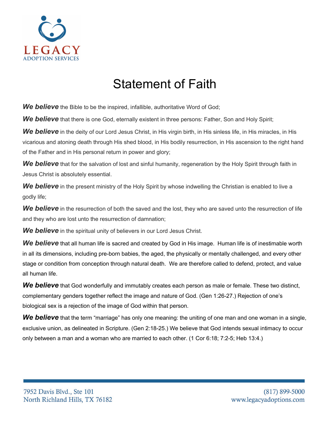

## Statement of Faith

**We believe** the Bible to be the inspired, infallible, authoritative Word of God;

**We believe** that there is one God, eternally existent in three persons: Father, Son and Holy Spirit;

*We believe* in the deity of our Lord Jesus Christ, in His virgin birth, in His sinless life, in His miracles, in His vicarious and atoning death through His shed blood, in His bodily resurrection, in His ascension to the right hand of the Father and in His personal return in power and glory;

*We believe* that for the salvation of lost and sinful humanity, regeneration by the Holy Spirit through faith in Jesus Christ is absolutely essential.

*We believe* in the present ministry of the Holy Spirit by whose indwelling the Christian is enabled to live a godly life;

**We believe** in the resurrection of both the saved and the lost, they who are saved unto the resurrection of life and they who are lost unto the resurrection of damnation;

*We believe* in the spiritual unity of believers in our Lord Jesus Christ.

*We believe* that all human life is sacred and created by God in His image. Human life is of inestimable worth in all its dimensions, including pre-born babies, the aged, the physically or mentally challenged, and every other stage or condition from conception through natural death. We are therefore called to defend, protect, and value all human life.

We believe that God wonderfully and immutably creates each person as male or female. These two distinct, complementary genders together reflect the image and nature of God. (Gen 1:26-27.) Rejection of one's biological sex is a rejection of the image of God within that person.

*We believe* that the term "marriage" has only one meaning: the uniting of one man and one woman in a single, exclusive union, as delineated in Scripture. (Gen 2:18-25.) We believe that God intends sexual intimacy to occur only between a man and a woman who are married to each other. (1 Cor 6:18; 7:2-5; Heb 13:4.)